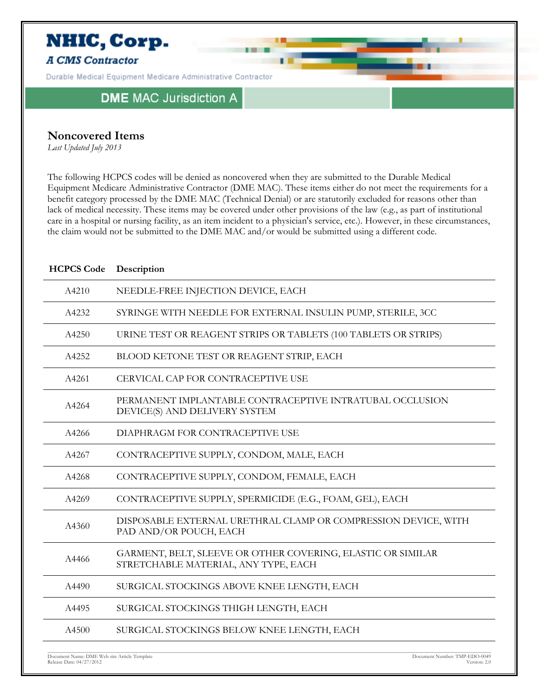

# **Noncovered Items**

*Last Updated July 2013*

The following HCPCS codes will be denied as noncovered when they are submitted to the Durable Medical Equipment Medicare Administrative Contractor (DME MAC). These items either do not meet the requirements for a benefit category processed by the DME MAC (Technical Denial) or are statutorily excluded for reasons other than lack of medical necessity. These items may be covered under other provisions of the law (e.g., as part of institutional care in a hospital or nursing facility, as an item incident to a physician's service, etc.). However, in these circumstances, the claim would not be submitted to the DME MAC and/or would be submitted using a different code.

| <b>HCPCS Code</b> | Description                                                                                         |
|-------------------|-----------------------------------------------------------------------------------------------------|
| A4210             | NEEDLE-FREE INJECTION DEVICE, EACH                                                                  |
| A4232             | SYRINGE WITH NEEDLE FOR EXTERNAL INSULIN PUMP, STERILE, 3CC                                         |
| A4250             | URINE TEST OR REAGENT STRIPS OR TABLETS (100 TABLETS OR STRIPS)                                     |
| A4252             | BLOOD KETONE TEST OR REAGENT STRIP, EACH                                                            |
| A4261             | CERVICAL CAP FOR CONTRACEPTIVE USE                                                                  |
| A4264             | PERMANENT IMPLANTABLE CONTRACEPTIVE INTRATUBAL OCCLUSION<br>DEVICE(S) AND DELIVERY SYSTEM           |
| A4266             | DIAPHRAGM FOR CONTRACEPTIVE USE                                                                     |
| A4267             | CONTRACEPTIVE SUPPLY, CONDOM, MALE, EACH                                                            |
| A4268             | CONTRACEPTIVE SUPPLY, CONDOM, FEMALE, EACH                                                          |
| A4269             | CONTRACEPTIVE SUPPLY, SPERMICIDE (E.G., FOAM, GEL), EACH                                            |
| A4360             | DISPOSABLE EXTERNAL URETHRAL CLAMP OR COMPRESSION DEVICE, WITH<br>PAD AND/OR POUCH, EACH            |
| A4466             | GARMENT, BELT, SLEEVE OR OTHER COVERING, ELASTIC OR SIMILAR<br>STRETCHABLE MATERIAL, ANY TYPE, EACH |
| A4490             | SURGICAL STOCKINGS ABOVE KNEE LENGTH, EACH                                                          |
| A4495             | SURGICAL STOCKINGS THIGH LENGTH, EACH                                                               |
| A4500             | SURGICAL STOCKINGS BELOW KNEE LENGTH, EACH                                                          |
|                   |                                                                                                     |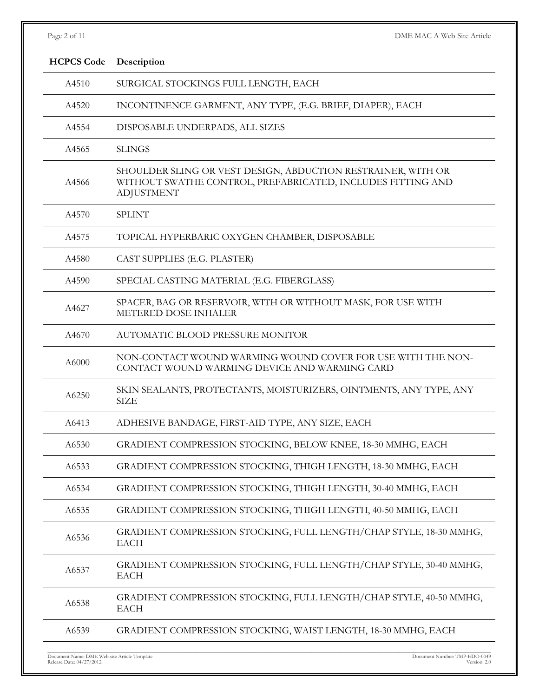| Page 2 of 11      | DME MAC A Web Site Article                                                                                                                       |
|-------------------|--------------------------------------------------------------------------------------------------------------------------------------------------|
| <b>HCPCS Code</b> | Description                                                                                                                                      |
| A4510             | SURGICAL STOCKINGS FULL LENGTH, EACH                                                                                                             |
| A4520             | INCONTINENCE GARMENT, ANY TYPE, (E.G. BRIEF, DIAPER), EACH                                                                                       |
| A4554             | DISPOSABLE UNDERPADS, ALL SIZES                                                                                                                  |
| A4565             | <b>SLINGS</b>                                                                                                                                    |
| A4566             | SHOULDER SLING OR VEST DESIGN, ABDUCTION RESTRAINER, WITH OR<br>WITHOUT SWATHE CONTROL, PREFABRICATED, INCLUDES FITTING AND<br><b>ADJUSTMENT</b> |
| A4570             | <b>SPLINT</b>                                                                                                                                    |
| A4575             | TOPICAL HYPERBARIC OXYGEN CHAMBER, DISPOSABLE                                                                                                    |
| A4580             | CAST SUPPLIES (E.G. PLASTER)                                                                                                                     |
| A4590             | SPECIAL CASTING MATERIAL (E.G. FIBERGLASS)                                                                                                       |
| A4627             | SPACER, BAG OR RESERVOIR, WITH OR WITHOUT MASK, FOR USE WITH<br>METERED DOSE INHALER                                                             |
| A4670             | AUTOMATIC BLOOD PRESSURE MONITOR                                                                                                                 |
| A6000             | NON-CONTACT WOUND WARMING WOUND COVER FOR USE WITH THE NON-<br>CONTACT WOUND WARMING DEVICE AND WARMING CARD                                     |
| A6250             | SKIN SEALANTS, PROTECTANTS, MOISTURIZERS, OINTMENTS, ANY TYPE, ANY<br><b>SIZE</b>                                                                |
| A6413             | ADHESIVE BANDAGE, FIRST-AID TYPE, ANY SIZE, EACH                                                                                                 |
| A6530             | GRADIENT COMPRESSION STOCKING, BELOW KNEE, 18-30 MMHG, EACH                                                                                      |
| A6533             | GRADIENT COMPRESSION STOCKING, THIGH LENGTH, 18-30 MMHG, EACH                                                                                    |
| A6534             | GRADIENT COMPRESSION STOCKING, THIGH LENGTH, 30-40 MMHG, EACH                                                                                    |
| A6535             | GRADIENT COMPRESSION STOCKING, THIGH LENGTH, 40-50 MMHG, EACH                                                                                    |
| A6536             | GRADIENT COMPRESSION STOCKING, FULL LENGTH/CHAP STYLE, 18-30 MMHG,<br><b>EACH</b>                                                                |
| A6537             | GRADIENT COMPRESSION STOCKING, FULL LENGTH/CHAP STYLE, 30-40 MMHG,<br><b>EACH</b>                                                                |
| A6538             | GRADIENT COMPRESSION STOCKING, FULL LENGTH/CHAP STYLE, 40-50 MMHG,<br><b>EACH</b>                                                                |
| A6539             | GRADIENT COMPRESSION STOCKING, WAIST LENGTH, 18-30 MMHG, EACH                                                                                    |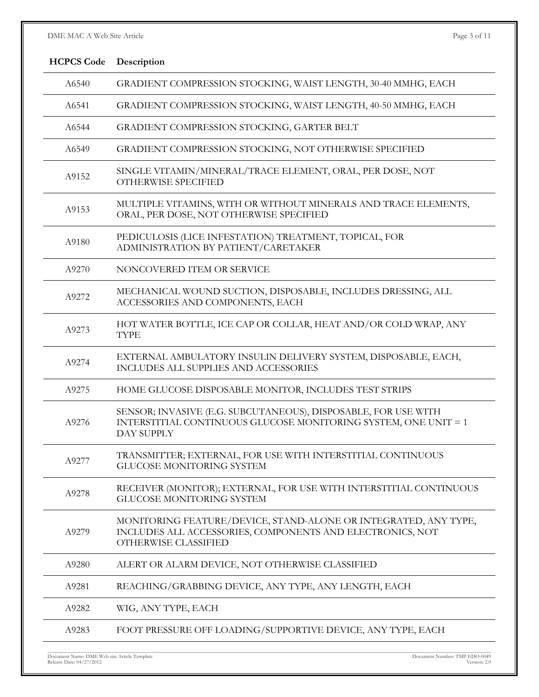# DME MAC A Web Site Article Page 3 of 11

| <b>HCPCS Code</b> | Description                                                                                                                                          |
|-------------------|------------------------------------------------------------------------------------------------------------------------------------------------------|
| A6540             | GRADIENT COMPRESSION STOCKING, WAIST LENGTH, 30-40 MMHG, EACH                                                                                        |
| A6541             | GRADIENT COMPRESSION STOCKING, WAIST LENGTH, 40-50 MMHG, EACH                                                                                        |
| A6544             | GRADIENT COMPRESSION STOCKING, GARTER BELT                                                                                                           |
| A6549             | GRADIENT COMPRESSION STOCKING, NOT OTHERWISE SPECIFIED                                                                                               |
| A9152             | SINGLE VITAMIN/MINERAL/TRACE ELEMENT, ORAL, PER DOSE, NOT<br>OTHERWISE SPECIFIED                                                                     |
| A9153             | MULTIPLE VITAMINS, WITH OR WITHOUT MINERALS AND TRACE ELEMENTS,<br>ORAL, PER DOSE, NOT OTHERWISE SPECIFIED                                           |
| A9180             | PEDICULOSIS (LICE INFESTATION) TREATMENT, TOPICAL, FOR<br>ADMINISTRATION BY PATIENT/CARETAKER                                                        |
| A9270             | NONCOVERED ITEM OR SERVICE                                                                                                                           |
| A9272             | MECHANICAL WOUND SUCTION, DISPOSABLE, INCLUDES DRESSING, ALL<br>ACCESSORIES AND COMPONENTS, EACH                                                     |
| A9273             | HOT WATER BOTTLE, ICE CAP OR COLLAR, HEAT AND/OR COLD WRAP, ANY<br><b>TYPE</b>                                                                       |
| A9274             | EXTERNAL AMBULATORY INSULIN DELIVERY SYSTEM, DISPOSABLE, EACH,<br>INCLUDES ALL SUPPLIES AND ACCESSORIES                                              |
| A9275             | HOME GLUCOSE DISPOSABLE MONITOR, INCLUDES TEST STRIPS                                                                                                |
| A9276             | SENSOR; INVASIVE (E.G. SUBCUTANEOUS), DISPOSABLE, FOR USE WITH<br>INTERSTITIAL CONTINUOUS GLUCOSE MONITORING SYSTEM, ONE UNIT = 1<br>DAY SUPPLY      |
| A9277             | TRANSMITTER; EXTERNAL, FOR USE WITH INTERSTITIAL CONTINUOUS<br><b>GLUCOSE MONITORING SYSTEM</b>                                                      |
| A9278             | RECEIVER (MONITOR); EXTERNAL, FOR USE WITH INTERSTITIAL CONTINUOUS<br>GLUCOSE MONITORING SYSTEM                                                      |
| A9279             | MONITORING FEATURE/DEVICE, STAND-ALONE OR INTEGRATED, ANY TYPE,<br>INCLUDES ALL ACCESSORIES, COMPONENTS AND ELECTRONICS, NOT<br>OTHERWISE CLASSIFIED |
| A9280             | ALERT OR ALARM DEVICE, NOT OTHERWISE CLASSIFIED                                                                                                      |
| A9281             | REACHING/GRABBING DEVICE, ANY TYPE, ANY LENGTH, EACH                                                                                                 |
| A9282             | WIG, ANY TYPE, EACH                                                                                                                                  |
| A9283             | FOOT PRESSURE OFF LOADING/SUPPORTIVE DEVICE, ANY TYPE, EACH                                                                                          |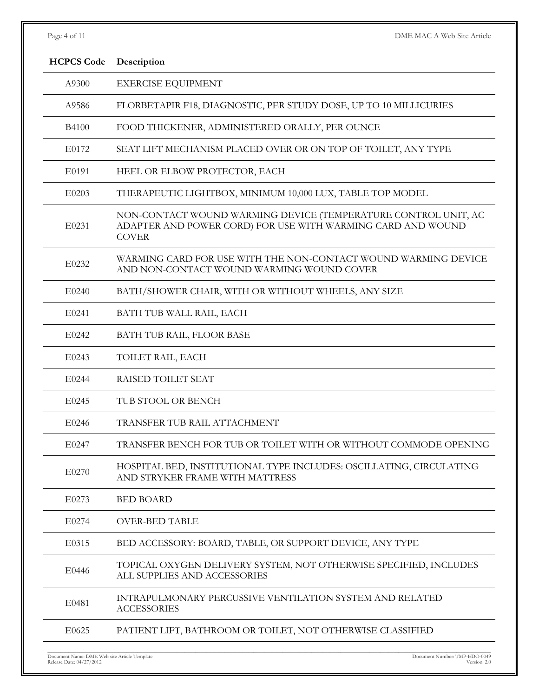| Page | $\overline{4}$ | OE. |  |
|------|----------------|-----|--|
|      |                |     |  |

DME MAC A Web Site Article

| <b>HCPCS Code</b> | Description                                                                                                                                   |
|-------------------|-----------------------------------------------------------------------------------------------------------------------------------------------|
| A9300             | <b>EXERCISE EQUIPMENT</b>                                                                                                                     |
| A9586             | FLORBETAPIR F18, DIAGNOSTIC, PER STUDY DOSE, UP TO 10 MILLICURIES                                                                             |
| <b>B4100</b>      | FOOD THICKENER, ADMINISTERED ORALLY, PER OUNCE                                                                                                |
| E0172             | SEAT LIFT MECHANISM PLACED OVER OR ON TOP OF TOILET, ANY TYPE                                                                                 |
| E0191             | HEEL OR ELBOW PROTECTOR, EACH                                                                                                                 |
| E0203             | THERAPEUTIC LIGHTBOX, MINIMUM 10,000 LUX, TABLE TOP MODEL                                                                                     |
| E0231             | NON-CONTACT WOUND WARMING DEVICE (TEMPERATURE CONTROL UNIT, AC<br>ADAPTER AND POWER CORD) FOR USE WITH WARMING CARD AND WOUND<br><b>COVER</b> |
| E0232             | WARMING CARD FOR USE WITH THE NON-CONTACT WOUND WARMING DEVICE<br>AND NON-CONTACT WOUND WARMING WOUND COVER                                   |
| E0240             | BATH/SHOWER CHAIR, WITH OR WITHOUT WHEELS, ANY SIZE                                                                                           |
| E0241             | BATH TUB WALL RAIL, EACH                                                                                                                      |
| E0242             | BATH TUB RAIL, FLOOR BASE                                                                                                                     |
| E0243             | TOILET RAIL, EACH                                                                                                                             |
| E0244             | RAISED TOILET SEAT                                                                                                                            |
| E0245             | TUB STOOL OR BENCH                                                                                                                            |
| E0246             | TRANSFER TUB RAIL ATTACHMENT                                                                                                                  |
| E0247             | TRANSFER BENCH FOR TUB OR TOILET WITH OR WITHOUT COMMODE OPENING                                                                              |
| E0270             | HOSPITAL BED, INSTITUTIONAL TYPE INCLUDES: OSCILLATING, CIRCULATING<br>AND STRYKER FRAME WITH MATTRESS                                        |
| E0273             | <b>BED BOARD</b>                                                                                                                              |
| E0274             | <b>OVER-BED TABLE</b>                                                                                                                         |
| E0315             | BED ACCESSORY: BOARD, TABLE, OR SUPPORT DEVICE, ANY TYPE                                                                                      |
| E0446             | TOPICAL OXYGEN DELIVERY SYSTEM, NOT OTHERWISE SPECIFIED, INCLUDES<br>ALL SUPPLIES AND ACCESSORIES                                             |
| E0481             | <b>INTRAPULMONARY PERCUSSIVE VENTILATION SYSTEM AND RELATED</b><br><b>ACCESSORIES</b>                                                         |
| E0625             | PATIENT LIFT, BATHROOM OR TOILET, NOT OTHERWISE CLASSIFIED                                                                                    |
|                   |                                                                                                                                               |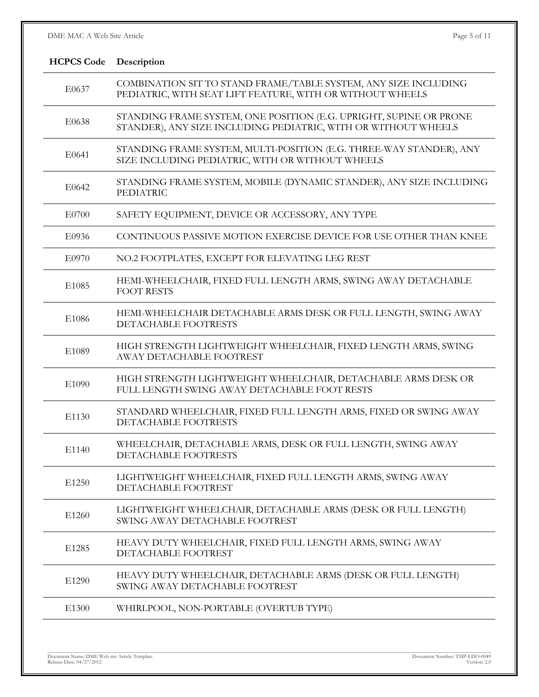| <b>HCPCS Code</b> | Description                                                                                                                          |
|-------------------|--------------------------------------------------------------------------------------------------------------------------------------|
| E0637             | COMBINATION SIT TO STAND FRAME/TABLE SYSTEM, ANY SIZE INCLUDING<br>PEDIATRIC, WITH SEAT LIFT FEATURE, WITH OR WITHOUT WHEELS         |
| E0638             | STANDING FRAME SYSTEM, ONE POSITION (E.G. UPRIGHT, SUPINE OR PRONE<br>STANDER), ANY SIZE INCLUDING PEDIATRIC, WITH OR WITHOUT WHEELS |
| E0641             | STANDING FRAME SYSTEM, MULTI-POSITION (E.G. THREE-WAY STANDER), ANY<br>SIZE INCLUDING PEDIATRIC, WITH OR WITHOUT WHEELS              |
| E0642             | STANDING FRAME SYSTEM, MOBILE (DYNAMIC STANDER), ANY SIZE INCLUDING<br><b>PEDIATRIC</b>                                              |
| E0700             | SAFETY EQUIPMENT, DEVICE OR ACCESSORY, ANY TYPE                                                                                      |
| E0936             | CONTINUOUS PASSIVE MOTION EXERCISE DEVICE FOR USE OTHER THAN KNEE                                                                    |
| E0970             | NO.2 FOOTPLATES, EXCEPT FOR ELEVATING LEG REST                                                                                       |
| E1085             | HEMI-WHEELCHAIR, FIXED FULL LENGTH ARMS, SWING AWAY DETACHABLE<br><b>FOOT RESTS</b>                                                  |
| E1086             | HEMI-WHEELCHAIR DETACHABLE ARMS DESK OR FULL LENGTH, SWING AWAY<br>DETACHABLE FOOTRESTS                                              |
| E1089             | HIGH STRENGTH LIGHTWEIGHT WHEELCHAIR, FIXED LENGTH ARMS, SWING<br>AWAY DETACHABLE FOOTREST                                           |
| E1090             | HIGH STRENGTH LIGHTWEIGHT WHEELCHAIR, DETACHABLE ARMS DESK OR<br>FULL LENGTH SWING AWAY DETACHABLE FOOT RESTS                        |
| E1130             | STANDARD WHEELCHAIR, FIXED FULL LENGTH ARMS, FIXED OR SWING AWAY<br>DETACHABLE FOOTRESTS                                             |
| E1140             | WHEELCHAIR, DETACHABLE ARMS, DESK OR FULL LENGTH, SWING AWAY<br>DETACHABLE FOOTRESTS                                                 |
| E1250             | LIGHTWEIGHT WHEELCHAIR, FIXED FULL LENGTH ARMS, SWING AWAY<br>DETACHABLE FOOTREST                                                    |
| E1260             | LIGHTWEIGHT WHEELCHAIR, DETACHABLE ARMS (DESK OR FULL LENGTH)<br>SWING AWAY DETACHABLE FOOTREST                                      |
| E1285             | HEAVY DUTY WHEELCHAIR, FIXED FULL LENGTH ARMS, SWING AWAY<br>DETACHABLE FOOTREST                                                     |
| E1290             | HEAVY DUTY WHEELCHAIR, DETACHABLE ARMS (DESK OR FULL LENGTH)<br>SWING AWAY DETACHABLE FOOTREST                                       |
| E1300             | WHIRLPOOL, NON-PORTABLE (OVERTUB TYPE)                                                                                               |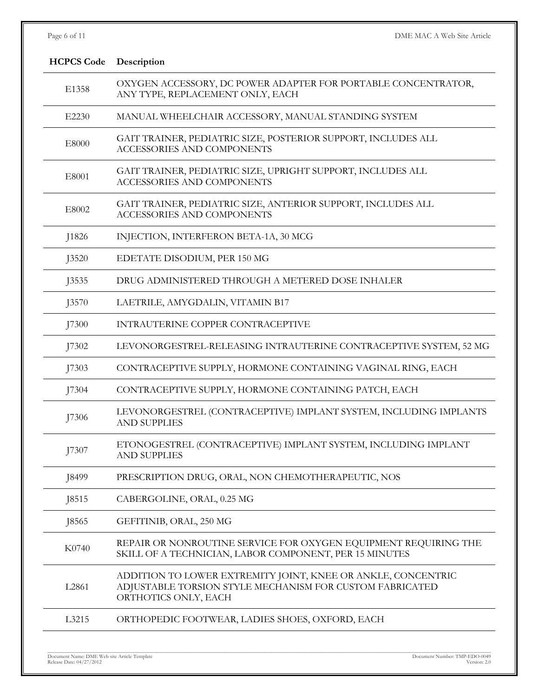| Page 6 of 11      | DME MAC A Web Site Article                                                                                                                       |
|-------------------|--------------------------------------------------------------------------------------------------------------------------------------------------|
| <b>HCPCS Code</b> | Description                                                                                                                                      |
| E1358             | OXYGEN ACCESSORY, DC POWER ADAPTER FOR PORTABLE CONCENTRATOR,<br>ANY TYPE, REPLACEMENT ONLY, EACH                                                |
| E2230             | MANUAL WHEELCHAIR ACCESSORY, MANUAL STANDING SYSTEM                                                                                              |
| E8000             | GAIT TRAINER, PEDIATRIC SIZE, POSTERIOR SUPPORT, INCLUDES ALL<br><b>ACCESSORIES AND COMPONENTS</b>                                               |
| E8001             | GAIT TRAINER, PEDIATRIC SIZE, UPRIGHT SUPPORT, INCLUDES ALL<br><b>ACCESSORIES AND COMPONENTS</b>                                                 |
| E8002             | GAIT TRAINER, PEDIATRIC SIZE, ANTERIOR SUPPORT, INCLUDES ALL<br><b>ACCESSORIES AND COMPONENTS</b>                                                |
| J1826             | INJECTION, INTERFERON BETA-1A, 30 MCG                                                                                                            |
| <b>J3520</b>      | EDETATE DISODIUM, PER 150 MG                                                                                                                     |
| <b>J3535</b>      | DRUG ADMINISTERED THROUGH A METERED DOSE INHALER                                                                                                 |
| J3570             | LAETRILE, AMYGDALIN, VITAMIN B17                                                                                                                 |
| J7300             | INTRAUTERINE COPPER CONTRACEPTIVE                                                                                                                |
| J7302             | LEVONORGESTREL-RELEASING INTRAUTERINE CONTRACEPTIVE SYSTEM, 52 MG                                                                                |
| J7303             | CONTRACEPTIVE SUPPLY, HORMONE CONTAINING VAGINAL RING, EACH                                                                                      |
| J7304             | CONTRACEPTIVE SUPPLY, HORMONE CONTAINING PATCH, EACH                                                                                             |
| J7306             | LEVONORGESTREL (CONTRACEPTIVE) IMPLANT SYSTEM, INCLUDING IMPLANTS<br><b>AND SUPPLIES</b>                                                         |
| J7307             | ETONOGESTREL (CONTRACEPTIVE) IMPLANT SYSTEM, INCLUDING IMPLANT<br><b>AND SUPPLIES</b>                                                            |
| J8499             | PRESCRIPTION DRUG, ORAL, NON CHEMOTHERAPEUTIC, NOS                                                                                               |
| J8515             | CABERGOLINE, ORAL, 0.25 MG                                                                                                                       |
| <b>J8565</b>      | GEFITINIB, ORAL, 250 MG                                                                                                                          |
| K0740             | REPAIR OR NONROUTINE SERVICE FOR OXYGEN EQUIPMENT REQUIRING THE<br>SKILL OF A TECHNICIAN, LABOR COMPONENT, PER 15 MINUTES                        |
| L2861             | ADDITION TO LOWER EXTREMITY JOINT, KNEE OR ANKLE, CONCENTRIC<br>ADJUSTABLE TORSION STYLE MECHANISM FOR CUSTOM FABRICATED<br>ORTHOTICS ONLY, EACH |
| L3215             | ORTHOPEDIC FOOTWEAR, LADIES SHOES, OXFORD, EACH                                                                                                  |
|                   |                                                                                                                                                  |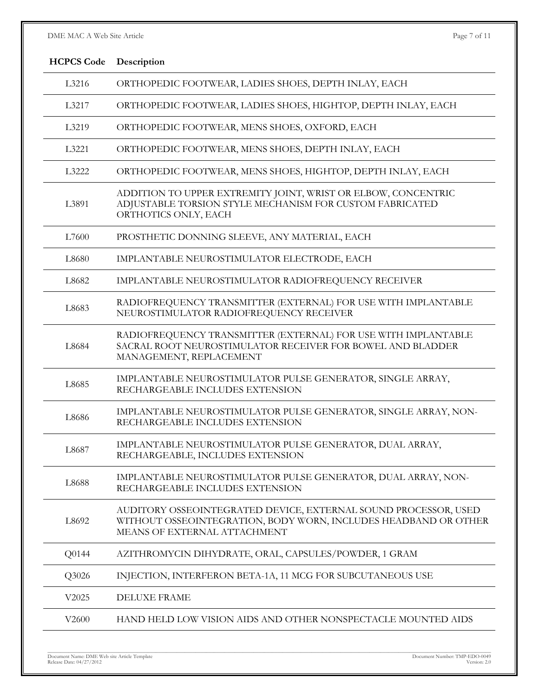# DME MAC A Web Site Article Page 7 of 11

| <b>HCPCS Code</b> | Description                                                                                                                                                        |  |
|-------------------|--------------------------------------------------------------------------------------------------------------------------------------------------------------------|--|
| L3216             | ORTHOPEDIC FOOTWEAR, LADIES SHOES, DEPTH INLAY, EACH                                                                                                               |  |
| L3217             | ORTHOPEDIC FOOTWEAR, LADIES SHOES, HIGHTOP, DEPTH INLAY, EACH                                                                                                      |  |
| L3219             | ORTHOPEDIC FOOTWEAR, MENS SHOES, OXFORD, EACH                                                                                                                      |  |
| L3221             | ORTHOPEDIC FOOTWEAR, MENS SHOES, DEPTH INLAY, EACH                                                                                                                 |  |
| L3222             | ORTHOPEDIC FOOTWEAR, MENS SHOES, HIGHTOP, DEPTH INLAY, EACH                                                                                                        |  |
| L3891             | ADDITION TO UPPER EXTREMITY JOINT, WRIST OR ELBOW, CONCENTRIC<br>ADJUSTABLE TORSION STYLE MECHANISM FOR CUSTOM FABRICATED<br>ORTHOTICS ONLY, EACH                  |  |
| L7600             | PROSTHETIC DONNING SLEEVE, ANY MATERIAL, EACH                                                                                                                      |  |
| L8680             | IMPLANTABLE NEUROSTIMULATOR ELECTRODE, EACH                                                                                                                        |  |
| L8682             | IMPLANTABLE NEUROSTIMULATOR RADIOFREQUENCY RECEIVER                                                                                                                |  |
| L8683             | RADIOFREQUENCY TRANSMITTER (EXTERNAL) FOR USE WITH IMPLANTABLE<br>NEUROSTIMULATOR RADIOFREQUENCY RECEIVER                                                          |  |
| L8684             | RADIOFREQUENCY TRANSMITTER (EXTERNAL) FOR USE WITH IMPLANTABLE<br>SACRAL ROOT NEUROSTIMULATOR RECEIVER FOR BOWEL AND BLADDER<br>MANAGEMENT, REPLACEMENT            |  |
| L8685             | IMPLANTABLE NEUROSTIMULATOR PULSE GENERATOR, SINGLE ARRAY,<br>RECHARGEABLE INCLUDES EXTENSION                                                                      |  |
| L8686             | IMPLANTABLE NEUROSTIMULATOR PULSE GENERATOR, SINGLE ARRAY, NON-<br>RECHARGEABLE INCLUDES EXTENSION                                                                 |  |
| L8687             | IMPLANTABLE NEUROSTIMULATOR PULSE GENERATOR, DUAL ARRAY,<br>RECHARGEABLE, INCLUDES EXTENSION                                                                       |  |
| L8688             | IMPLANTABLE NEUROSTIMULATOR PULSE GENERATOR, DUAL ARRAY, NON-<br>RECHARGEABLE INCLUDES EXTENSION                                                                   |  |
| L8692             | AUDITORY OSSEOINTEGRATED DEVICE, EXTERNAL SOUND PROCESSOR, USED<br>WITHOUT OSSEOINTEGRATION, BODY WORN, INCLUDES HEADBAND OR OTHER<br>MEANS OF EXTERNAL ATTACHMENT |  |
| Q0144             | AZITHROMYCIN DIHYDRATE, ORAL, CAPSULES/POWDER, 1 GRAM                                                                                                              |  |
| Q3026             | INJECTION, INTERFERON BETA-1A, 11 MCG FOR SUBCUTANEOUS USE                                                                                                         |  |
| V2025             | <b>DELUXE FRAME</b>                                                                                                                                                |  |
| V2600             | HAND HELD LOW VISION AIDS AND OTHER NONSPECTACLE MOUNTED AIDS                                                                                                      |  |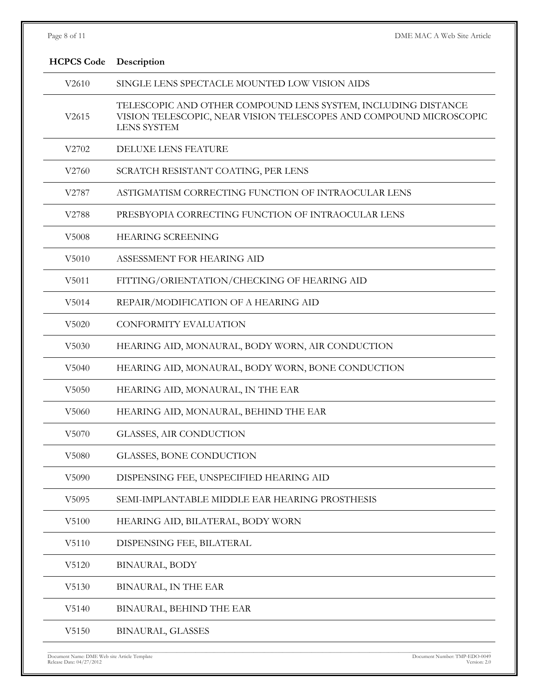| Page 8 of 11      | DME MAC A Web Site Article                                                                                                                                |
|-------------------|-----------------------------------------------------------------------------------------------------------------------------------------------------------|
| <b>HCPCS Code</b> | Description                                                                                                                                               |
| V2610             | SINGLE LENS SPECTACLE MOUNTED LOW VISION AIDS                                                                                                             |
| V2615             | TELESCOPIC AND OTHER COMPOUND LENS SYSTEM, INCLUDING DISTANCE<br>VISION TELESCOPIC, NEAR VISION TELESCOPES AND COMPOUND MICROSCOPIC<br><b>LENS SYSTEM</b> |
| V2702             | <b>DELUXE LENS FEATURE</b>                                                                                                                                |
| V2760             | SCRATCH RESISTANT COATING, PER LENS                                                                                                                       |
| V2787             | ASTIGMATISM CORRECTING FUNCTION OF INTRAOCULAR LENS                                                                                                       |
| V2788             | PRESBYOPIA CORRECTING FUNCTION OF INTRAOCULAR LENS                                                                                                        |
| V5008             | <b>HEARING SCREENING</b>                                                                                                                                  |
| V5010             | ASSESSMENT FOR HEARING AID                                                                                                                                |
| V5011             | FITTING/ORIENTATION/CHECKING OF HEARING AID                                                                                                               |
| V <sub>5014</sub> | REPAIR/MODIFICATION OF A HEARING AID                                                                                                                      |
| V5020             | <b>CONFORMITY EVALUATION</b>                                                                                                                              |
| V <sub>5030</sub> | HEARING AID, MONAURAL, BODY WORN, AIR CONDUCTION                                                                                                          |
| V5040             | HEARING AID, MONAURAL, BODY WORN, BONE CONDUCTION                                                                                                         |
| V5050             | HEARING AID, MONAURAL, IN THE EAR                                                                                                                         |
| V <sub>5060</sub> | HEARING AID, MONAURAL, BEHIND THE EAR                                                                                                                     |
| V5070             | GLASSES, AIR CONDUCTION                                                                                                                                   |
| V5080             | <b>GLASSES, BONE CONDUCTION</b>                                                                                                                           |
| V5090             | DISPENSING FEE, UNSPECIFIED HEARING AID                                                                                                                   |
| V5095             | SEMI-IMPLANTABLE MIDDLE EAR HEARING PROSTHESIS                                                                                                            |
| V5100             | HEARING AID, BILATERAL, BODY WORN                                                                                                                         |
| V5110             | DISPENSING FEE, BILATERAL                                                                                                                                 |
| V5120             | <b>BINAURAL, BODY</b>                                                                                                                                     |
| V5130             | BINAURAL, IN THE EAR                                                                                                                                      |
| V5140             | BINAURAL, BEHIND THE EAR                                                                                                                                  |
| V5150             | <b>BINAURAL, GLASSES</b>                                                                                                                                  |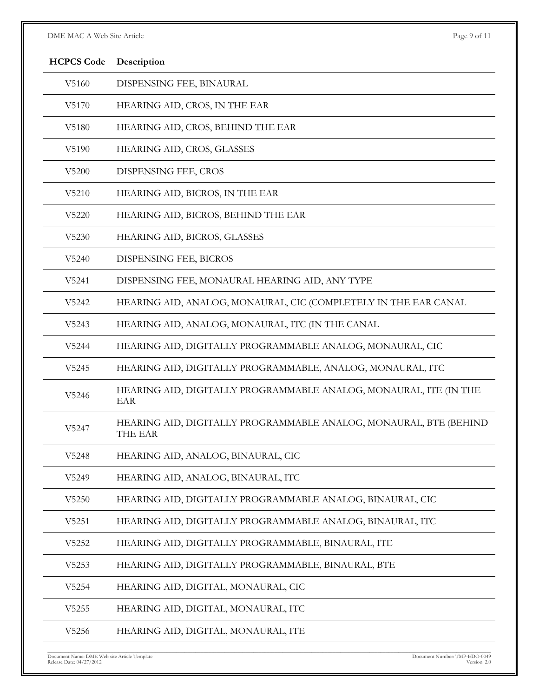# DME MAC A Web Site Article Page 9 of 11

| <b>HCPCS Code</b> | Description                                                                  |
|-------------------|------------------------------------------------------------------------------|
| V5160             | DISPENSING FEE, BINAURAL                                                     |
| V5170             | HEARING AID, CROS, IN THE EAR                                                |
| V5180             | HEARING AID, CROS, BEHIND THE EAR                                            |
| V5190             | HEARING AID, CROS, GLASSES                                                   |
| V5200             | DISPENSING FEE, CROS                                                         |
| V5210             | HEARING AID, BICROS, IN THE EAR                                              |
| V5220             | HEARING AID, BICROS, BEHIND THE EAR                                          |
| V5230             | HEARING AID, BICROS, GLASSES                                                 |
| V5240             | <b>DISPENSING FEE, BICROS</b>                                                |
| V5241             | DISPENSING FEE, MONAURAL HEARING AID, ANY TYPE                               |
| V <sub>5242</sub> | HEARING AID, ANALOG, MONAURAL, CIC (COMPLETELY IN THE EAR CANAL              |
| V5243             | HEARING AID, ANALOG, MONAURAL, ITC (IN THE CANAL                             |
| V5244             | HEARING AID, DIGITALLY PROGRAMMABLE ANALOG, MONAURAL, CIC                    |
| V5245             | HEARING AID, DIGITALLY PROGRAMMABLE, ANALOG, MONAURAL, ITC                   |
| V5246             | HEARING AID, DIGITALLY PROGRAMMABLE ANALOG, MONAURAL, ITE (IN THE<br>EAR     |
| V5247             | HEARING AID, DIGITALLY PROGRAMMABLE ANALOG, MONAURAL, BTE (BEHIND<br>THE EAR |
| V5248             | HEARING AID, ANALOG, BINAURAL, CIC                                           |
| V5249             | HEARING AID, ANALOG, BINAURAL, ITC                                           |
| V5250             | HEARING AID, DIGITALLY PROGRAMMABLE ANALOG, BINAURAL, CIC                    |
| V5251             | HEARING AID, DIGITALLY PROGRAMMABLE ANALOG, BINAURAL, ITC                    |
| V5252             | HEARING AID, DIGITALLY PROGRAMMABLE, BINAURAL, ITE                           |
| V5253             | HEARING AID, DIGITALLY PROGRAMMABLE, BINAURAL, BTE                           |
| V5254             | HEARING AID, DIGITAL, MONAURAL, CIC                                          |
| V5255             | HEARING AID, DIGITAL, MONAURAL, ITC                                          |
| V5256             | HEARING AID, DIGITAL, MONAURAL, ITE                                          |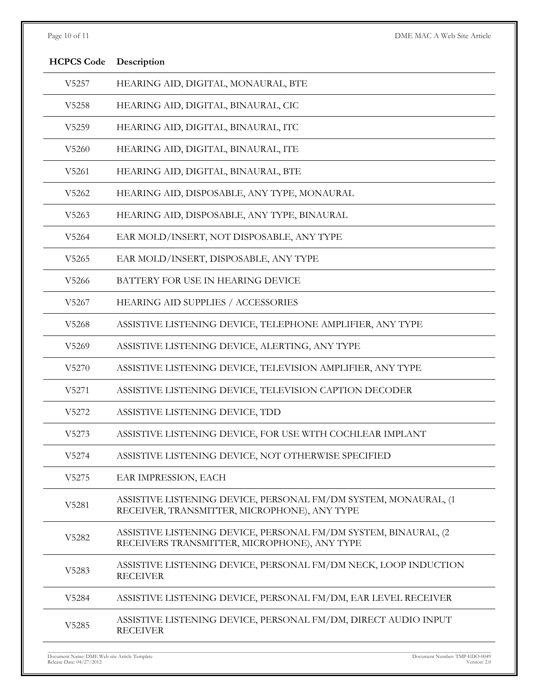| <b>HCPCS Code</b> | Description                                                                                                     |
|-------------------|-----------------------------------------------------------------------------------------------------------------|
| V5257             | HEARING AID, DIGITAL, MONAURAL, BTE                                                                             |
| V5258             | HEARING AID, DIGITAL, BINAURAL, CIC                                                                             |
| V5259             | HEARING AID, DIGITAL, BINAURAL, ITC                                                                             |
| V5260             | HEARING AID, DIGITAL, BINAURAL, ITE                                                                             |
| V5261             | HEARING AID, DIGITAL, BINAURAL, BTE                                                                             |
| V5262             | HEARING AID, DISPOSABLE, ANY TYPE, MONAURAL                                                                     |
| V5263             | HEARING AID, DISPOSABLE, ANY TYPE, BINAURAL                                                                     |
| V5264             | EAR MOLD/INSERT, NOT DISPOSABLE, ANY TYPE                                                                       |
| V5265             | EAR MOLD/INSERT, DISPOSABLE, ANY TYPE                                                                           |
| V <sub>5266</sub> | BATTERY FOR USE IN HEARING DEVICE                                                                               |
| V5267             | HEARING AID SUPPLIES / ACCESSORIES                                                                              |
| V5268             | ASSISTIVE LISTENING DEVICE, TELEPHONE AMPLIFIER, ANY TYPE                                                       |
| V5269             | ASSISTIVE LISTENING DEVICE, ALERTING, ANY TYPE                                                                  |
| V5270             | ASSISTIVE LISTENING DEVICE, TELEVISION AMPLIFIER, ANY TYPE                                                      |
| V5271             | ASSISTIVE LISTENING DEVICE, TELEVISION CAPTION DECODER                                                          |
| V5272             | ASSISTIVE LISTENING DEVICE, TDD                                                                                 |
| V5273             | ASSISTIVE LISTENING DEVICE, FOR USE WITH COCHLEAR IMPLANT                                                       |
| V5274             | ASSISTIVE LISTENING DEVICE, NOT OTHERWISE SPECIFIED                                                             |
| V5275             | EAR IMPRESSION, EACH                                                                                            |
| V5281             | ASSISTIVE LISTENING DEVICE, PERSONAL FM/DM SYSTEM, MONAURAL, (1<br>RECEIVER, TRANSMITTER, MICROPHONE), ANY TYPE |
| V5282             | ASSISTIVE LISTENING DEVICE, PERSONAL FM/DM SYSTEM, BINAURAL, (2<br>RECEIVERS TRANSMITTER, MICROPHONE), ANY TYPE |
| V5283             | ASSISTIVE LISTENING DEVICE, PERSONAL FM/DM NECK, LOOP INDUCTION<br><b>RECEIVER</b>                              |
| V5284             | ASSISTIVE LISTENING DEVICE, PERSONAL FM/DM, EAR LEVEL RECEIVER                                                  |
| V5285             | ASSISTIVE LISTENING DEVICE, PERSONAL FM/DM, DIRECT AUDIO INPUT<br><b>RECEIVER</b>                               |